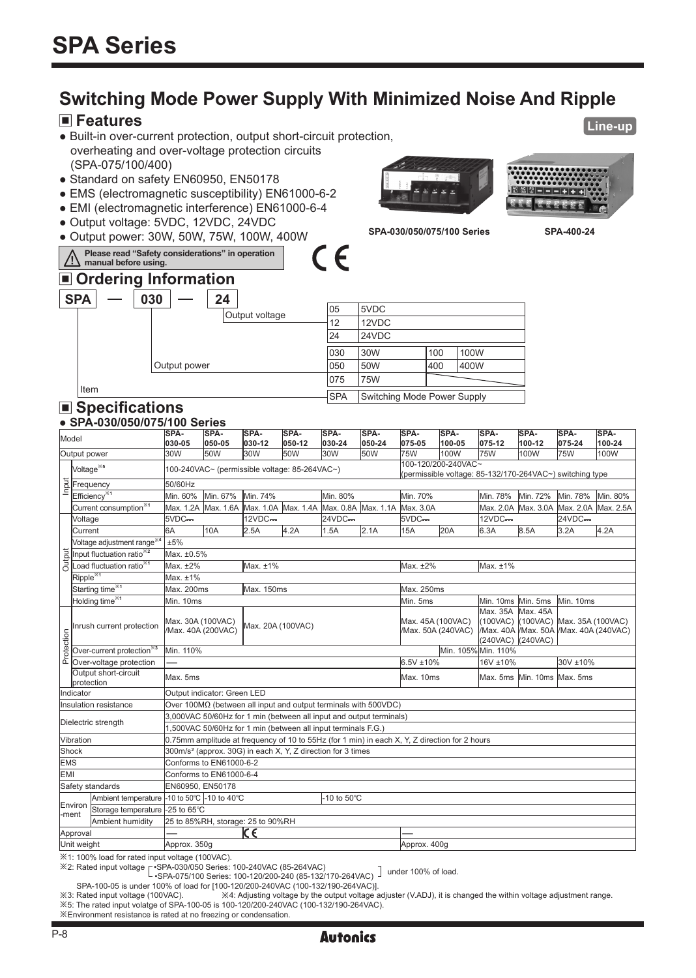# **Switching Mode Power Supply With Minimized Noise And Ripple**

 $\epsilon$ 

#### **Features**

- Built-in over-current protection, output short-circuit protection, overheating and over-voltage protection circuits (SPA-075/100/400)
- Standard on safety EN60950, EN50178
- EMS (electromagnetic susceptibility) EN61000-6-2
- EMI (electromagnetic interference) EN61000-6-4
- Output voltage: 5VDC, 12VDC, 24VDC
- Output power: 30W, 50W, 75W, 100W, 400W **Please read "Safety considerations" in operation**





**Line-up**

**SPA-030/050/075/100 Series SPA-400-24**

| ■ Ordering Information |                               |                             |     |                             |     |      |  |  |  |  |  |
|------------------------|-------------------------------|-----------------------------|-----|-----------------------------|-----|------|--|--|--|--|--|
|                        | <b>SPA</b>                    | 030<br>24<br>Output voltage | 05  | 5VDC                        |     |      |  |  |  |  |  |
|                        |                               |                             | 12  | 12VDC<br>24VDC              |     |      |  |  |  |  |  |
|                        |                               |                             | 24  |                             |     |      |  |  |  |  |  |
|                        |                               |                             | 030 | 30W                         | 100 | 100W |  |  |  |  |  |
|                        |                               | Output power                | 050 | 50W                         | 400 | 400W |  |  |  |  |  |
|                        |                               |                             | 075 | 75W                         |     |      |  |  |  |  |  |
|                        | Item<br><b>SPA</b>            |                             |     | Switching Mode Power Supply |     |      |  |  |  |  |  |
|                        | $\blacksquare$ Chapifications |                             |     |                             |     |      |  |  |  |  |  |

### **Specifications**

**manual before using.**

#### Model **SPA-030-05**<br>30W **SPA-050-05**<br>50W **SPA-030-12**<br>30W **SPA-050-12**<br>50W **SPA-030-24**<br>30W **SPA-050-24**<br>50W **SPA-075-05 SPA-100-05 SPA-075-12 SPA-100-12 SPA-** $\frac{075-24}{75}$ **SPA-100-24**  Output power 30W 50W 30W 50W 30W 50W 75W 100W 75W 100W 75W 100W  $\frac{50}{60}$  Frequency 50/60Hz Voltage※**<sup>5</sup>** 100-240VAC~ (permissible voltage: 85-264VAC~) 100-120/200-240VAC~ (permissible voltage: 85-132/170-264VAC~) switching type Efficiency※**<sup>1</sup>** Min. 60% Min. 67% Min. 74% Min. 80% Min. 70% Min. 78% Min. 72% Min. 78% Min. 80% Current consumption<sup>※1</sup> Max. 1.2A Max. 1.6A Max. 1.0A Max. 1.4A Max. 0.8A Max. 1.1A Max. 3.0A Max. 2.0A Max. 3.0A Max. 2.0A Max. 2.5A<br>Voltage SVDC<del>==</del> 124VDC== 124VDC== 124VDC== 124VDC== 124VDC== 124VDC== 124VDC== 124VDC= **Output** Voltage 5VDC 12VDC 24VDC 5VDC 12VDC 24VDC Current 6A 10A 2.5A 4.2A 1.5A 2.1A 15A 20A 6.3A 8.5A 3.2A 4.2A Voltage adjustment range※**<sup>4</sup>** ±5% Input fluctuation ratio※**<sup>2</sup>** Max. ±0.5% Load fluctuation ratio※**<sup>1</sup>** Max. ±2% Max. ±1% Max. ±2% Max. ±1% Ripple<sup>※1</sup> Max. ±1% **Starting time<sup>※1</sup> Max. 200ms** Max. 150ms Max. 200ms Max. 250ms Holding time※**<sup>1</sup>** Min. 10ms Min. 5ms Min. 10ms Min. 5ms Min. 10ms Inrush current protection Max. 30A (100VAC)<br>
Max. 40A (200VAC)<br>
Dependent protection Min. 110%<br>  $\frac{1}{\Delta}$  Over-voltage protection — /Max. 40A (200VAC) Max. 20A (100VAC) Max. 45A (100VAC) /Max. 50A (240VAC) Max. 35A (100VAC) /Max. 40A (240VAC) Max. 45A (100VAC) /Max. 50A /Max. 40A (240VAC) (240VAC) Max. 35A (100VAC) Over-current protection<sup>※3</sup> Min. 110% Min. 105% Min. 105% Min. 105% Min. 105% Min. 105% Min. 105% Min. 110% Over-current protection<sup> 83</sup> Min. 110% 168 Min. 110% 168 Min. 105% Min. 110% 240VAC)<br>Over-voltage protection - 6.5V ±10% 16V ±10% 30V ±10% 30V ±10%<br>Output short-circuit Output short-circuit protection Max. 5ms Max. 10ms Max. 5ms Min. 10ms Max. 5ms Indicator | Output indicator: Green LED Insulation resistance Over 100MΩ (between all input and output terminals with 500VDC) Dielectric strength 3,000VAC 50/60Hz for 1 min (between all input and output terminals) 1,500VAC 50/60Hz for 1 min (between all input terminals F.G.) Vibration 0.75mm amplitude at frequency of 10 to 55Hz (for 1 min) in each X, Y, Z direction for 2 hours Shock 300m/s<sup>2</sup> (approx. 30G) in each X, Y, Z direction for 3 times EMS Conforms to EN61000-6-2 EMI Conforms to EN61000-6-4 Safety standards EN60950, EN50178 Environ -ment Ambient temperature -10 to 50℃ -10 to 40℃ -10 to 50℃ Storage temperature -25 to 65℃<br>Ambient humidity 25 to 85%F Ambient humidity 25 to 85%RH, storage: 25 to 90%RH -ment Storage temperature -25 to 65°C<br>Ambient humidity 25 to 85%RH, storage: 25 to 90%RH<br>Approval - - - - - - - CC<br>Libit weight Unit weight Approx. 350g Approx. 350g Approx. 400g **● SPA-030/050/075/100 Series**

※1: 100% load for rated input voltage (100VAC).

※2: Rated input voltage •SPA-030/050 Series: 100-240VAC (85-264VAC) under 100% of load. •SPA-075/100 Series: 100-120/200-240 (85-132/170-264VAC)

SPA-100-05 is under 100% of load for [100-120/200-240VAC (100-132/190-264VAC)].

※3: Rated input voltage (100VAC). ※4: Adjusting voltage by the output voltage adjuster (V.ADJ), it is changed the within voltage adjustment range. ※5: The rated input volatge of SPA-100-05 is 100-120/200-240VAC (100-132/190-264VAC).

※Environment resistance is rated at no freezing or condensation.

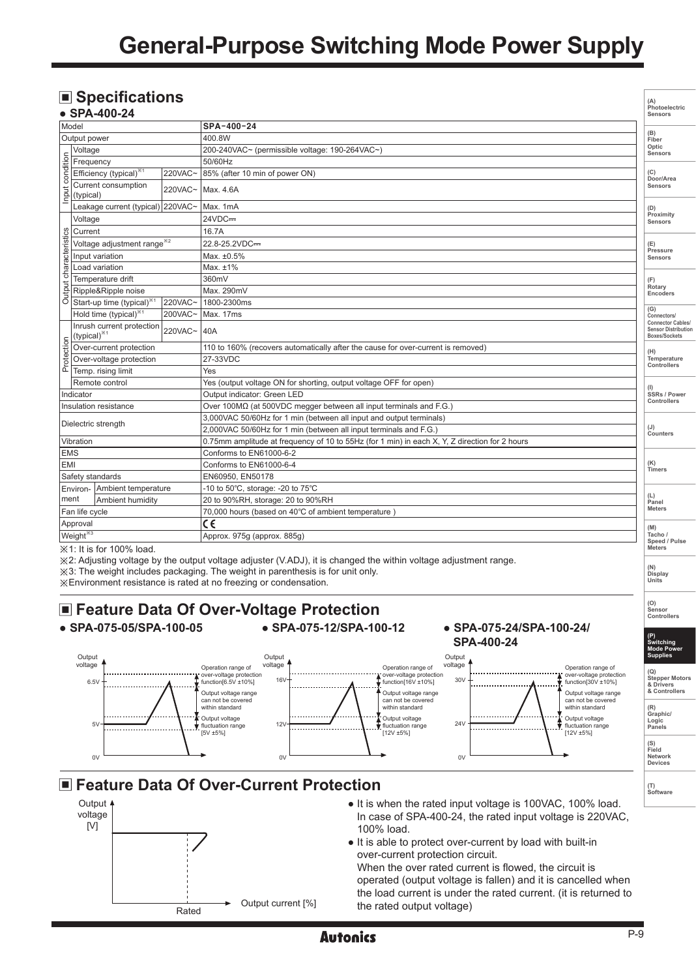# **General-Purpose Switching Mode Power Supply**

# ■ Specifications

|                                 | $\blacksquare$ Specifications<br>$\bullet$ SPA-400-24 |         |                                                                                               | (A)<br>Photoelectric<br>Sensors                                                |  |  |  |  |
|---------------------------------|-------------------------------------------------------|---------|-----------------------------------------------------------------------------------------------|--------------------------------------------------------------------------------|--|--|--|--|
| Model                           |                                                       |         | SPA-400-24                                                                                    |                                                                                |  |  |  |  |
| Output power                    |                                                       |         | 400.8W                                                                                        |                                                                                |  |  |  |  |
| condition                       | Voltage                                               |         | 200-240VAC~ (permissible voltage: 190-264VAC~)                                                | Optic<br>Sensors                                                               |  |  |  |  |
|                                 | Frequency                                             |         | 50/60Hz                                                                                       |                                                                                |  |  |  |  |
|                                 | Efficiency (typical) <sup>*1</sup>                    | 220VAC~ | 85% (after 10 min of power ON)                                                                | (C)<br>Door/Area                                                               |  |  |  |  |
| Input                           | Current consumption<br>(typical)                      | 220VAC~ | Max. 4.6A                                                                                     | Sensors                                                                        |  |  |  |  |
|                                 | Leakage current (typical) 220VAC~                     |         | Max. 1mA                                                                                      | (D)                                                                            |  |  |  |  |
| characteristics<br>Output       | Voltage                                               |         | 24VDC=                                                                                        | Proximity<br>Sensors                                                           |  |  |  |  |
|                                 | Current                                               |         | 16.7A                                                                                         |                                                                                |  |  |  |  |
|                                 | Voltage adjustment range <sup>*2</sup>                |         | 22.8-25.2VDC=                                                                                 | (E)                                                                            |  |  |  |  |
|                                 | Input variation                                       |         | Max. ±0.5%                                                                                    | Pressure<br>Sensors                                                            |  |  |  |  |
|                                 | Load variation                                        |         | Max. $±1\%$                                                                                   |                                                                                |  |  |  |  |
|                                 | Temperature drift                                     |         | 360mV                                                                                         | (F)                                                                            |  |  |  |  |
|                                 | Ripple&Ripple noise                                   |         | Max. 290mV                                                                                    | Rotary<br>Encoders                                                             |  |  |  |  |
|                                 | Start-up time (typical)*                              | 220VAC~ | 1800-2300ms                                                                                   |                                                                                |  |  |  |  |
|                                 | Hold time (typical) <sup>*1</sup>                     | 200VAC~ | Max. 17ms                                                                                     | (G)<br>Connectors/                                                             |  |  |  |  |
|                                 | Inrush current protection<br>(typical) <sup>**1</sup> | 220VAC~ | 40A                                                                                           | <b>Connector Cables/</b><br><b>Sensor Distribution</b><br><b>Boxes/Sockets</b> |  |  |  |  |
|                                 | Over-current protection                               |         | 110 to 160% (recovers automatically after the cause for over-current is removed)              |                                                                                |  |  |  |  |
| Protection                      | Over-voltage protection                               |         | 27-33VDC                                                                                      |                                                                                |  |  |  |  |
|                                 | Temp. rising limit                                    |         | Yes                                                                                           | Controllers                                                                    |  |  |  |  |
|                                 | Remote control                                        |         | Yes (output voltage ON for shorting, output voltage OFF for open)                             |                                                                                |  |  |  |  |
| Indicator                       |                                                       |         | Output indicator: Green LED                                                                   | SSRs / Power<br>Controllers                                                    |  |  |  |  |
| Insulation resistance           |                                                       |         | Over 100MΩ (at 500VDC megger between all input terminals and F.G.)                            |                                                                                |  |  |  |  |
| Dielectric strength             |                                                       |         | 3,000VAC 50/60Hz for 1 min (between all input and output terminals)                           | (J)                                                                            |  |  |  |  |
|                                 |                                                       |         | 2,000VAC 50/60Hz for 1 min (between all input terminals and F.G.)                             |                                                                                |  |  |  |  |
|                                 | Vibration                                             |         | 0.75mm amplitude at frequency of 10 to 55Hz (for 1 min) in each X, Y, Z direction for 2 hours |                                                                                |  |  |  |  |
| <b>EMS</b>                      |                                                       |         | Conforms to EN61000-6-2                                                                       |                                                                                |  |  |  |  |
| EMI                             |                                                       |         | Conforms to EN61000-6-4                                                                       |                                                                                |  |  |  |  |
|                                 | Safety standards                                      |         | EN60950, EN50178                                                                              |                                                                                |  |  |  |  |
| Ambient temperature<br>Environ- |                                                       |         | -10 to 50°C, storage: -20 to 75°C                                                             |                                                                                |  |  |  |  |
|                                 | ment<br>Ambient humidity                              |         | 20 to 90%RH, storage: 20 to 90%RH                                                             |                                                                                |  |  |  |  |
|                                 | Fan life cycle                                        |         | 70,000 hours (based on 40°C of ambient temperature)                                           |                                                                                |  |  |  |  |
|                                 | Approval                                              |         | $\overline{\mathsf{c}\epsilon}$                                                               |                                                                                |  |  |  |  |
|                                 | Weight <sup>*3</sup>                                  |         | Approx. 975q (approx. 885q)                                                                   | (M)<br>Tacho<br>Speed / Pulse                                                  |  |  |  |  |
|                                 | $\frac{1}{2}$ 1. It is for 100% load                  |         |                                                                                               | <b>Meters</b>                                                                  |  |  |  |  |

※1: It is for 100% load.

※2: Adjusting voltage by the output voltage adjuster (V.ADJ), it is changed the within voltage adjustment range.

※3: The weight includes packaging. The weight in parenthesis is for unit only.

※Environment resistance is rated at no freezing or condensation.

# **Feature Data Of Over-Voltage Protection**<br>• SPA-075-05/SPA-100-05<br>• SPA-075-12/SPA-100-12

**● SPA-075-05/SPA-100-05 ● SPA-075-12/SPA-100-12 ● SPA-075-24/SPA-100-24/**



## **Example 2 Feature Data Of Over-Current Protection**



● It is when the rated input voltage is 100VAC, 100% load. In case of SPA-400-24, the rated input voltage is 220VAC, 100% load.

● It is able to protect over-current by load with built-in over-current protection circuit.

When the over rated current is flowed, the circuit is operated (output voltage is fallen) and it is cancelled when the load current is under the rated current. (it is returned to the rated output voltage)

**(N) Display Units**

**(O) Sensor Controllers** 

**Autonics**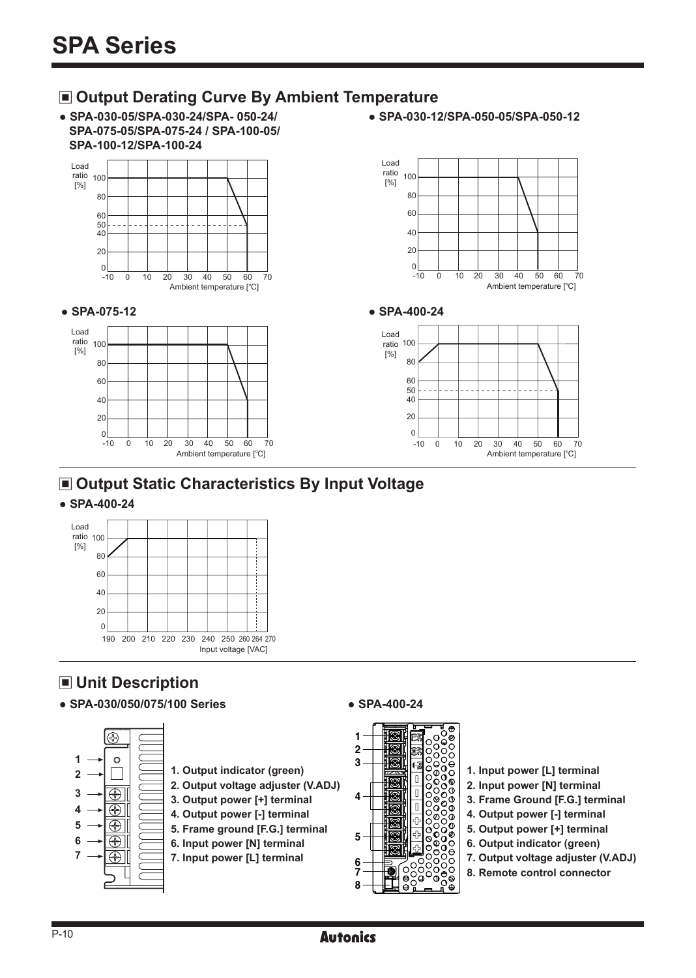### **Output Derating Curve By Ambient Temperature**

- **SPA-030-05/SPA-030-24/SPA- 050-24/ SPA-075-05/SPA-075-24 / SPA-100-05/ SPA-100-12/SPA-100-24**
- **SPA-030-12/SPA-050-05/SPA-050-12**



## **Output Static Characteristics By Input Voltage**

#### **● SPA-400-24**



## **Unit Description**

**● SPA-030/050/075/100 Series ● SPA-400-24**





- **1. Input power [L] terminal**
- **2. Input power [N] terminal**
- **3. Frame Ground [F.G.] terminal**
- **4. Output power [-] terminal**
- **5. Output power [+] terminal**
- **6. Output indicator (green)**
- **7. Output voltage adjuster (V.ADJ)**
- **8. Remote control connector**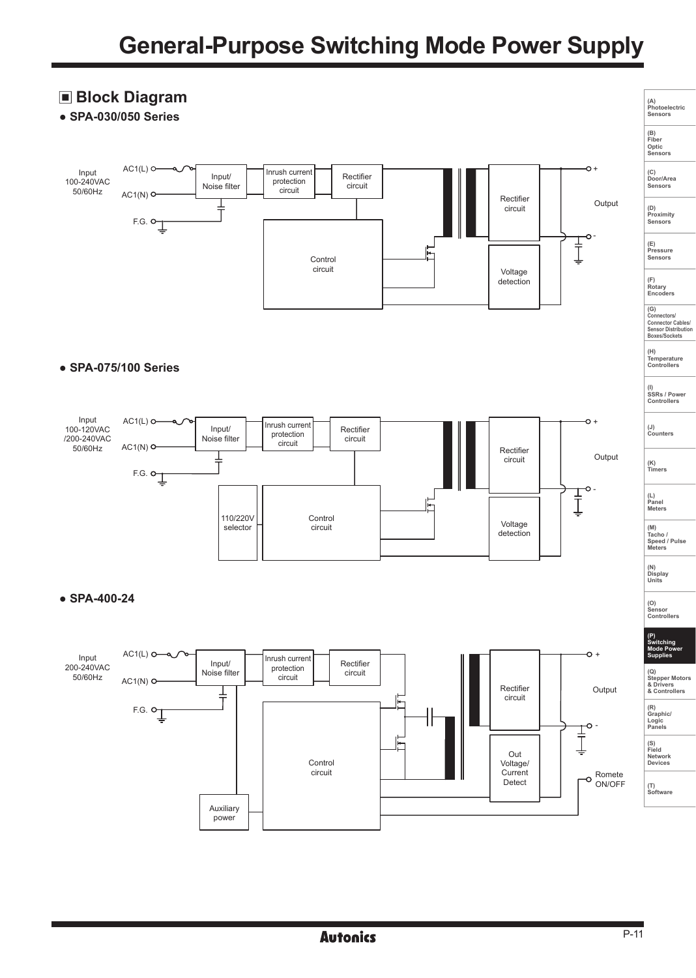#### **Block Diagram (A) Photoelectric Sensors ● SPA-030/050 Series (B) Fiber Optic Sensors**  $AC1(L)$ <sup>O</sup>  $\sim$ Input Inrush current Input/ Rectifier **(C) Door/Area Sensors** 100-240VAC protection Noise filter circuit 50/60Hz circuit  $AC1(N)$ <sup>O</sup> Rectifier  $\frac{1}{1}$ Output circuit **(D) Proximity Sensors**   $F.G.$   $\downarrow$ o - **(E) Pressure Sensors**  Ţ Control circuit Voltage detection **(F) Rotary Encoders (G) Connectors/ Connector Cables/ Sensor Distribution Boxes/Sockets (H) Temperature Controllers ● SPA-075/100 Series (I) SSRs / Power Controllers** Input  $AC1(L)$   $O \sim$ Inrush current Input/ 100-120VAC Rectifier **(J) Counters**  protection /200-240VAC Noise filter circuit circuit  $AC1(N)$ <sup>O</sup> 50/60Hz Rectifier Output circuit F.G.  $\circ \downarrow$ **(K) Timers** - Ţ **(L) Panel Meters**   $\blacksquare$ 110/220V Control Voltage selector circuit **(M) Tacho / Speed / Pulse Meters**  detection **(N) Display Units ● SPA-400-24 (O) Sensor Controllers (P) Switching Mode Power**  $AC1(L)$ <sup> $\odot$ </sup>  $\sim$ Input Inrush current **Supplies**  Rectifier Input/ 200-240VAC protection Noise filter circuit **(Q) Stepper Motors & Drivers & Controllers** 50/60Hz circuit  $AC1(N)$  O Rectifier Output ╪ circuit  $F.G.$   $\sigma$ <sub> $\perp$ </sub> **(R) Graphic/ Logic Panels** ٦r - ]<br>] **(S) Field Network Devices** Out Control Voltage/ circuit **Current** Romete ON/OFF Detect **(T) Software** Auxiliary

power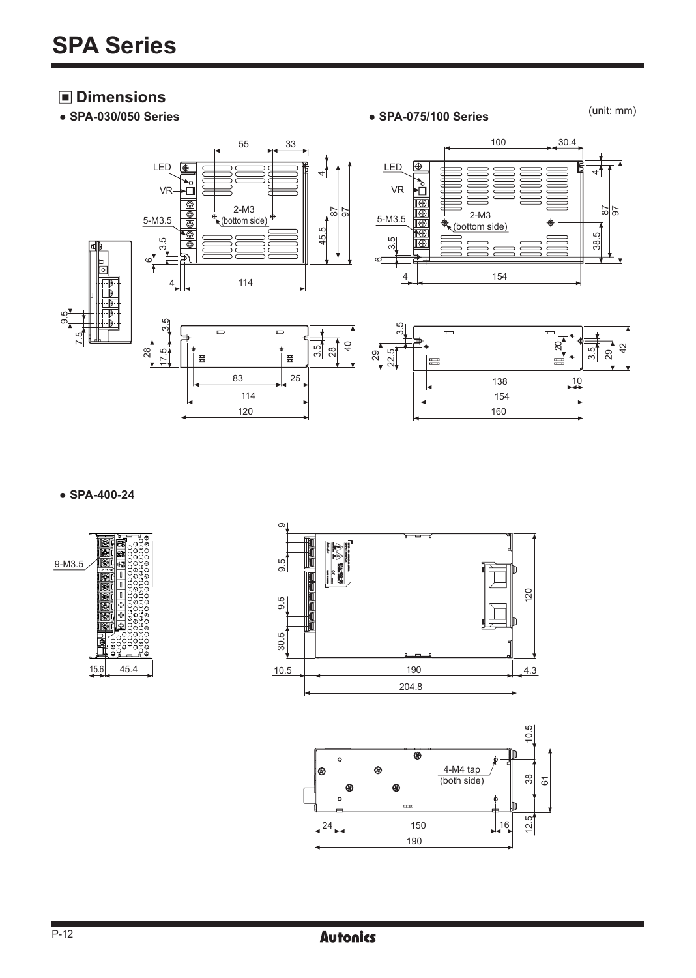# **Dimensions**<br>• SPA-030/050 Series

**● SPA-030/050 Series ● SPA-075/100 Series**

(unit: mm)



**● SPA-400-24**